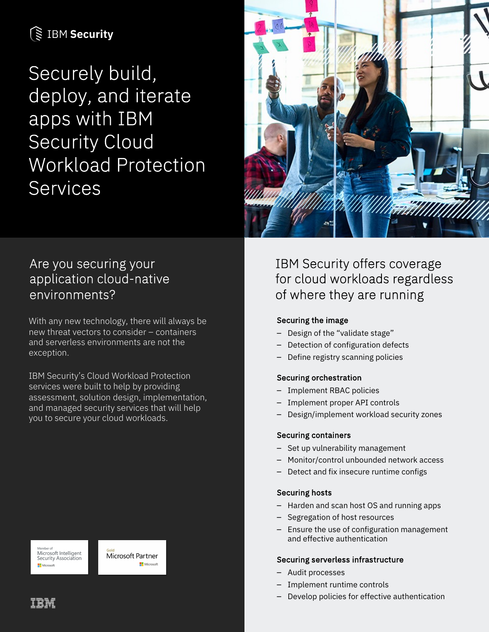# **SE IBM Security**

Securely build, deploy, and iterate apps with IBM Security Cloud Workload Protection Services



## Are you securing your application cloud-native environments?

With any new technology, there will always be new threat vectors to consider – containers and serverless environments are not the exception.

IBM Security's Cloud Workload Protection services were built to help by providing assessment, solution design, implementation, and managed security services that will help you to secure your cloud workloads.

Microsoft Intelligent Security Association



IBM Security offers coverage for cloud workloads regardless of where they are running

### Securing the image

- Design of the "validate stage"
- Detection of configuration defects
- Define registry scanning policies

### Securing orchestration

- Implement RBAC policies
- Implement proper API controls
- Design/implement workload security zones

### Securing containers

- Set up vulnerability management
- Monitor/control unbounded network access
- Detect and fix insecure runtime configs

### Securing hosts

- Harden and scan host OS and running apps
- Segregation of host resources
- Ensure the use of configuration management and effective authentication

### Securing serverless infrastructure

- Audit processes
- Implement runtime controls
- Develop policies for effective authentication